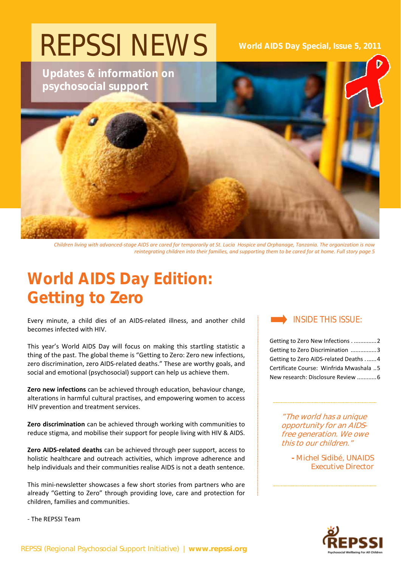

Children living with advanced-stage AIDS are cared for temporarily at St. Lucia Hospice and Orphanage, Tanzania. The organization is now reintegrating children into their families, and supporting them to be cared for at home. Full story page 5

# **World AIDS Day Edition: Getting to Zero**

Every minute, a child dies of an AIDS‐related illness, and another child becomes infected with HIV.

This year's World AIDS Day will focus on making this startling statistic a thing of the past. The global theme is "Getting to Zero: Zero new infections, zero discrimination, zero AIDS-related deaths." These are worthy goals, and social and emotional (psychosocial) support can help us achieve them.

**Zero new infections** can be achieved through education, behaviour change, alterations in harmful cultural practises, and empowering women to access HIV prevention and treatment services.

**Zero discrimination** can be achieved through working with communities to reduce stigma, and mobilise their support for people living with HIV & AIDS.

**Zero AIDS‐related deaths** can be achieved through peer support, access to holistic healthcare and outreach activities, which improve adherence and help individuals and their communities realise AIDS is not a death sentence.

This mini‐newsletter showcases a few short stories from partners who are already "Getting to Zero" through providing love, care and protection for children, families and communities.

INSIDE THIS ISSUE:

Getting to Zero New Infections . ..............2 Getting to Zero Discrimination ................3 Getting to Zero AIDS‐related Deaths .......4 Certificate Course: Winfrida Mwashala ..5 New research: Disclosure Review ............6

> "The world has a unique opportunity for an AIDSfree generation. We owe this to our children."

> > **-** Michel Sidibé, UNAIDS Executive Director



‐ The REPSSI Team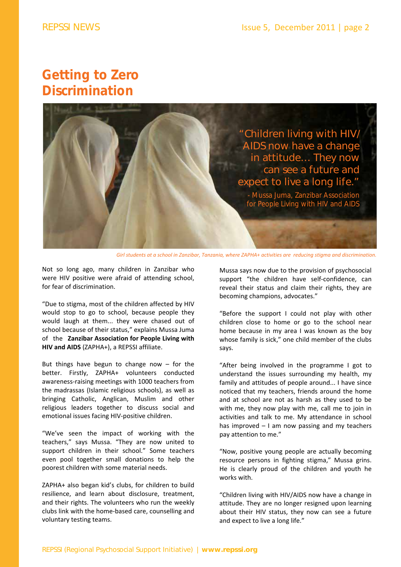### **Getting to Zero Discrimination**



Girl students at a school in Zanzibar, Tanzania, where ZAPHA+ activities are reducing stigma and discrimination.

Not so long ago, many children in Zanzibar who were HIV positive were afraid of attending school, for fear of discrimination.

"Due to stigma, most of the children affected by HIV would stop to go to school, because people they would laugh at them... they were chased out of school because of their status," explains Mussa Juma of the **Zanzibar Association for People Living with HIV and AIDS** (ZAPHA+), a REPSSI affiliate.

But things have begun to change now  $-$  for the better. Firstly, ZAPHA+ volunteers conducted awareness‐raising meetings with 1000 teachers from the madrassas (Islamic religious schools), as well as bringing Catholic, Anglican, Muslim and other religious leaders together to discuss social and emotional issues facing HIV‐positive children.

"We've seen the impact of working with the teachers," says Mussa. "They are now united to support children in their school." Some teachers even pool together small donations to help the poorest children with some material needs.

ZAPHA+ also began kid's clubs, for children to build resilience, and learn about disclosure, treatment, and their rights. The volunteers who run the weekly clubs link with the home‐based care, counselling and voluntary testing teams.

Mussa says now due to the provision of psychosocial support "the children have self-confidence, can reveal their status and claim their rights, they are becoming champions, advocates."

"Before the support I could not play with other children close to home or go to the school near home because in my area I was known as the boy whose family is sick," one child member of the clubs says.

"After being involved in the programme I got to understand the issues surrounding my health, my family and attitudes of people around... I have since noticed that my teachers, friends around the home and at school are not as harsh as they used to be with me, they now play with me, call me to join in activities and talk to me. My attendance in school has improved – I am now passing and my teachers pay attention to me."

"Now, positive young people are actually becoming resource persons in fighting stigma," Mussa grins. He is clearly proud of the children and youth he works with.

"Children living with HIV/AIDS now have a change in attitude. They are no longer resigned upon learning about their HIV status, they now can see a future and expect to live a long life."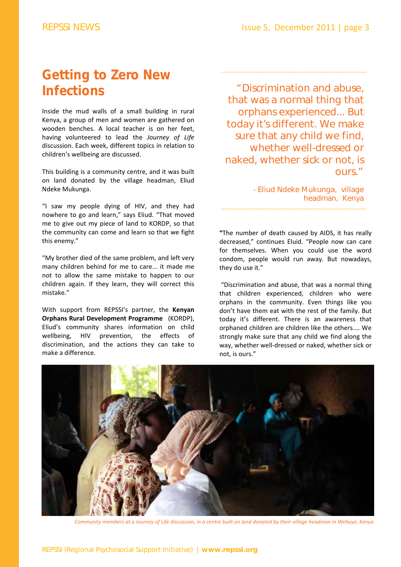## **Getting to Zero New Infections**

Inside the mud walls of a small building in rural Kenya, a group of men and women are gathered on wooden benches. A local teacher is on her feet, having volunteered to lead the *Journey of Life* discussion. Each week, different topics in relation to children's wellbeing are discussed.

This building is a community centre, and it was built on land donated by the village headman, Eliud Ndeke Mukunga.

"I saw my people dying of HIV, and they had nowhere to go and learn," says Eliud. "That moved me to give out my piece of land to KORDP, so that the community can come and learn so that we fight this enemy."

"My brother died of the same problem, and left very many children behind for me to care... it made me not to allow the same mistake to happen to our children again. If they learn, they will correct this mistake."

With support from REPSSI's partner, the **Kenyan Orphans Rural Development Programme** (KORDP), Eliud's community shares information on child wellbeing, HIV prevention, the effects of discrimination, and the actions they can take to make a difference.

"Discrimination and abuse, that was a normal thing that orphans experienced... But today it's different. We make sure that any child we find, whether well-dressed or naked, whether sick or not, is ours."

> - Eliud Ndeke Mukunga, village headman, Kenya

**"**The number of death caused by AIDS, it has really decreased," continues Eluid. "People now can care for themselves. When you could use the word condom, people would run away. But nowadays, they do use it."

"Discrimination and abuse, that was a normal thing that children experienced, children who were orphans in the community. Even things like you don't have them eat with the rest of the family. But today it's different. There is an awareness that orphaned children are children like the others.... We strongly make sure that any child we find along the way, whether well‐dressed or naked, whether sick or not, is ours."



Community members at a Journey of Life discussion, in a centre built on land donated by their village headman in Webuye, Kenya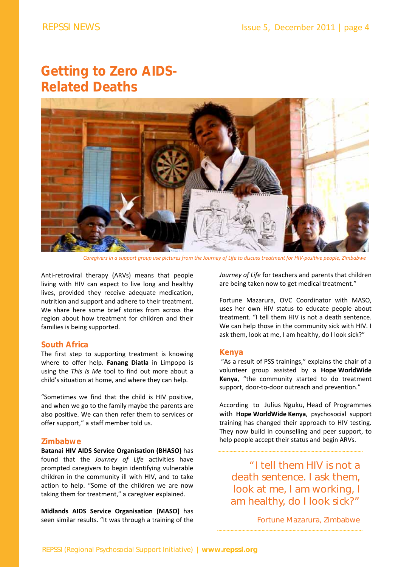# **Getting to Zero AIDS-Related Deaths**



Caregivers in a support group use pictures from the Journey of Life to discuss treatment for HIV-positive people, Zimbabwe

Anti-retroviral therapy (ARVs) means that people living with HIV can expect to live long and healthy lives, provided they receive adequate medication, nutrition and support and adhere to their treatment. We share here some brief stories from across the region about how treatment for children and their families is being supported.

#### **South Africa**

The first step to supporting treatment is knowing where to offer help. **Fanang Diatla** in Limpopo is using the *This Is Me* tool to find out more about a child's situation at home, and where they can help.

"Sometimes we find that the child is HIV positive, and when we go to the family maybe the parents are also positive. We can then refer them to services or offer support," a staff member told us.

#### **Zimbabwe**

**Batanai HIV AIDS Service Organisation (BHASO)** has found that the *Journey of Life* activities have prompted caregivers to begin identifying vulnerable children in the community ill with HIV, and to take action to help. "Some of the children we are now taking them for treatment," a caregiver explained.

**Midlands AIDS Service Organisation (MASO)** has seen similar results. "It was through a training of the *Journey of Life* for teachers and parents that children are being taken now to get medical treatment."

Fortune Mazarura, OVC Coordinator with MASO, uses her own HIV status to educate people about treatment. "I tell them HIV is not a death sentence. We can help those in the community sick with HIV. I ask them, look at me, I am healthy, do I look sick?"

#### **Kenya**

"As a result of PSS trainings," explains the chair of a volunteer group assisted by a **Hope WorldWide Kenya**, "the community started to do treatment support, door-to-door outreach and prevention."

According to Julius Nguku, Head of Programmes with **Hope WorldWide Kenya**, psychosocial support training has changed their approach to HIV testing. They now build in counselling and peer support, to help people accept their status and begin ARVs.

"I tell them HIV is not a death sentence. I ask them, look at me, I am working, I am healthy, do I look sick?"

Fortune Mazarura, Zimbabwe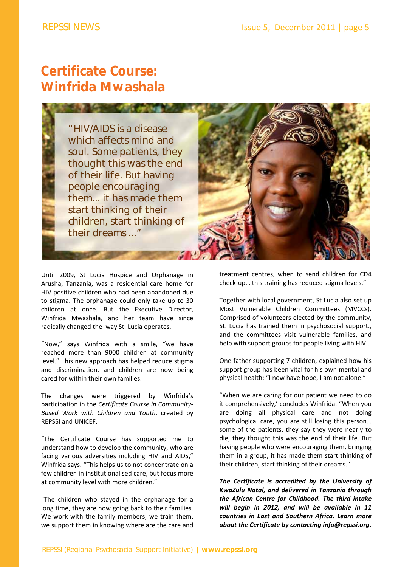# **Certificate Course: Winfrida Mwashala**



Until 2009, St Lucia Hospice and Orphanage in Arusha, Tanzania, was a residential care home for HIV positive children who had been abandoned due to stigma. The orphanage could only take up to 30 children at once. But the Executive Director, Winfrida Mwashala, and her team have since radically changed the way St. Lucia operates.

"Now," says Winfrida with a smile, "we have reached more than 9000 children at community level." This new approach has helped reduce stigma and discrimination, and children are now being cared for within their own families.

The changes were triggered by Winfrida's participation in the *Certificate Course in Community‐ Based Work with Children and Youth*, created by REPSSI and UNICEF.

"The Certificate Course has supported me to understand how to develop the community, who are facing various adversities including HIV and AIDS," Winfrida says. "This helps us to not concentrate on a few children in institutionalised care, but focus more at community level with more children."

"The children who stayed in the orphanage for a long time, they are now going back to their families. We work with the family members, we train them, we support them in knowing where are the care and

treatment centres, when to send children for CD4 check‐up… this training has reduced stigma levels."

Together with local government, St Lucia also set up Most Vulnerable Children Committees (MVCCs). Comprised of volunteers elected by the community, St. Lucia has trained them in psychosocial support., and the committees visit vulnerable families, and help with support groups for people living with HIV .

One father supporting 7 children, explained how his support group has been vital for his own mental and physical health: "I now have hope, I am not alone."

"When we are caring for our patient we need to do it comprehensively,' concludes Winfrida. "When you are doing all physical care and not doing psychological care, you are still losing this person… some of the patients, they say they were nearly to die, they thought this was the end of their life. But having people who were encouraging them, bringing them in a group, it has made them start thinking of their children, start thinking of their dreams."

*The Certificate is accredited by the University of KwaZulu Natal, and delivered in Tanzania through the African Centre for Childhood. The third intake will begin in 2012, and will be available in 11 countries in East and Southern Africa. Learn more about the Certificate by contacting info@repssi.org.*